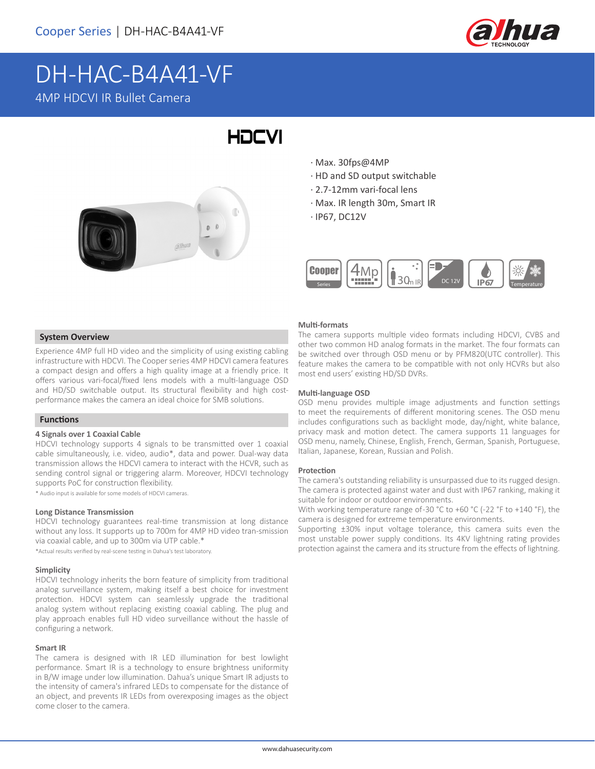

# DH-HAC-B4A41-VF 4MP HDCVI IR Bullet Camera



# · Max. 30fps@4MP

**HDCVI** 

- · HD and SD output switchable
- · 2.7-12mm vari-focal lens
- · Max. IR length 30m, Smart IR
- · IP67, DC12V



# **System Overview**

Experience 4MP full HD video and the simplicity of using existing cabling infrastructure with HDCVI. The Cooper series 4MP HDCVI camera features a compact design and offers a high quality image at a friendly price. It offers various vari-focal/fixed lens models with a multi-language OSD and HD/SD switchable output. Its structural flexibility and high costperformance makes the camera an ideal choice for SMB solutions.

# **Functions**

### **4 Signals over 1 Coaxial Cable**

HDCVI technology supports 4 signals to be transmitted over 1 coaxial cable simultaneously, i.e. video, audio\*, data and power. Dual-way data transmission allows the HDCVI camera to interact with the HCVR, such as sending control signal or triggering alarm. Moreover, HDCVI technology supports PoC for construction flexibility.

\* Audio input is available for some models of HDCVI cameras.

#### **Long Distance Transmission**

HDCVI technology guarantees real-time transmission at long distance without any loss. It supports up to 700m for 4MP HD video tran-smission via coaxial cable, and up to 300m via UTP cable.\* \*Actual results verified by real-scene testing in Dahua's test laboratory.

#### **Simplicity**

HDCVI technology inherits the born feature of simplicity from traditional analog surveillance system, making itself a best choice for investment protection. HDCVI system can seamlessly upgrade the traditional analog system without replacing existing coaxial cabling. The plug and play approach enables full HD video surveillance without the hassle of configuring a network.

#### **Smart IR**

The camera is designed with IR LED illumination for best lowlight performance. Smart IR is a technology to ensure brightness uniformity in B/W image under low illumination. Dahua's unique Smart IR adjusts to the intensity of camera's infrared LEDs to compensate for the distance of an object, and prevents IR LEDs from overexposing images as the object come closer to the camera.

#### **Multi-formats**

The camera supports multiple video formats including HDCVI, CVBS and other two common HD analog formats in the market. The four formats can be switched over through OSD menu or by PFM820(UTC controller). This feature makes the camera to be compatible with not only HCVRs but also most end users' existing HD/SD DVRs.

#### **Multi-language OSD**

OSD menu provides multiple image adjustments and function settings to meet the requirements of different monitoring scenes. The OSD menu includes configurations such as backlight mode, day/night, white balance, privacy mask and motion detect. The camera supports 11 languages for OSD menu, namely, Chinese, English, French, German, Spanish, Portuguese, Italian, Japanese, Korean, Russian and Polish.

#### **Protection**

The camera's outstanding reliability is unsurpassed due to its rugged design. The camera is protected against water and dust with IP67 ranking, making it suitable for indoor or outdoor environments.

With working temperature range of -30 °C to +60 °C (-22 °F to +140 °F), the camera is designed for extreme temperature environments.

Supporting ±30% input voltage tolerance, this camera suits even the most unstable power supply conditions. Its 4KV lightning rating provides protection against the camera and its structure from the effects of lightning.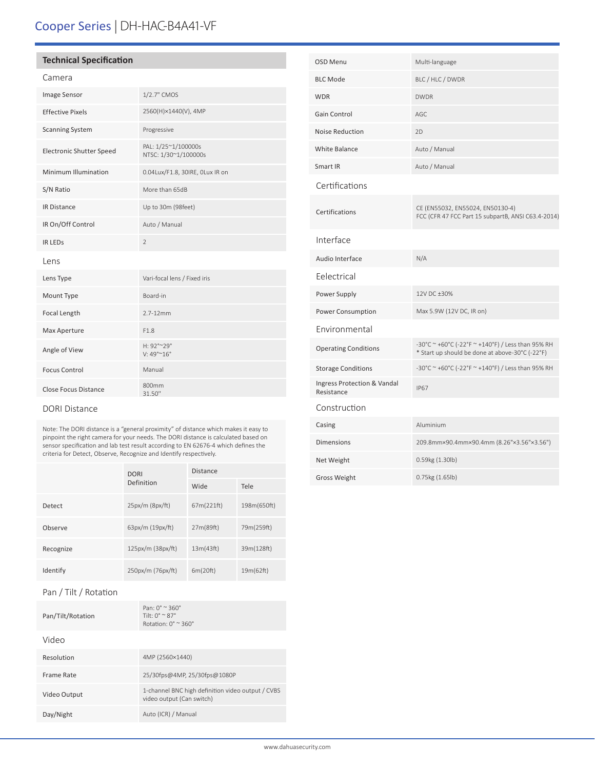# Cooper Series | DH-HAC-B4A41-VF

# **Technical Specification**

# Camera

| <b>Image Sensor</b>             | 1/2.7" CMOS                                  |
|---------------------------------|----------------------------------------------|
| <b>Effective Pixels</b>         | 2560(H)×1440(V), 4MP                         |
| <b>Scanning System</b>          | Progressive                                  |
| <b>Electronic Shutter Speed</b> | PAL: 1/25~1/100000s<br>NTSC: 1/30~1/100000s  |
| Minimum Illumination            | 0.04Lux/F1.8, 30IRE, OLux IR on              |
| S/N Ratio                       | More than 65dB                               |
| <b>IR Distance</b>              | Up to 30m (98feet)                           |
| IR On/Off Control               | Auto / Manual                                |
| <b>IR LEDS</b>                  | $\mathfrak{D}$                               |
| lens                            |                                              |
| Lens Type                       | Vari-focal lens / Fixed iris                 |
| Mount Type                      | Board-in                                     |
| Focal Length                    | $2.7 - 12$ mm                                |
| Max Aperture                    | F1.8                                         |
| Angle of View                   | H: 92°~29°<br>$V: 49^{\circ}$ ~ $16^{\circ}$ |
| <b>Focus Control</b>            | Manual                                       |
| Close Focus Distance            | 800mm<br>31.50"                              |

### DORI Distance

Note: The DORI distance is a "general proximity" of distance which makes it easy to pinpoint the right camera for your needs. The DORI distance is calculated based on sensor specification and lab test result according to EN 62676-4 which defines the criteria for Detect, Observe, Recognize and Identify respectively.

|           | <b>DORI</b>       | <b>Distance</b> |             |
|-----------|-------------------|-----------------|-------------|
|           | Definition        | Wide            | Tele        |
| Detect    | 25px/m (8px/ft)   | 67m(221ft)      | 198m(650ft) |
| Observe   | 63px/m (19px/ft)  | 27m(89ft)       | 79m(259ft)  |
| Recognize | 125px/m (38px/ft) | 13m(43ft)       | 39m(128ft)  |
| Identify  | 250px/m (76px/ft) | 6m(20ft)        | 19m(62ft)   |

# Pan / Tilt / Rotation

| Pan/Tilt/Rotation | $Pan: 0^{\circ} \approx 360^{\circ}$<br>Tilt: $0^{\circ}$ $\sim$ 87 $^{\circ}$<br>Rotation: $0^\circ \approx 360^\circ$ |
|-------------------|-------------------------------------------------------------------------------------------------------------------------|
| Video             |                                                                                                                         |
| Resolution        | 4MP (2560×1440)                                                                                                         |
| Frame Rate        | 25/30fps@4MP, 25/30fps@1080P                                                                                            |
| Video Output      | 1-channel BNC high definition video output / CVBS<br>video output (Can switch)                                          |
| Day/Night         | Auto (ICR) / Manual                                                                                                     |

| OSD Menu                                  | Multi-language                                                                                       |
|-------------------------------------------|------------------------------------------------------------------------------------------------------|
| <b>BLC Mode</b>                           | BLC / HLC / DWDR                                                                                     |
| <b>WDR</b>                                | <b>DWDR</b>                                                                                          |
| Gain Control                              | AGC                                                                                                  |
| <b>Noise Reduction</b>                    | 2D                                                                                                   |
| <b>White Balance</b>                      | Auto / Manual                                                                                        |
| Smart IR                                  | Auto / Manual                                                                                        |
| Certifications                            |                                                                                                      |
| Certifications                            | CE (EN55032, EN55024, EN50130-4)<br>FCC (CFR 47 FCC Part 15 subpartB, ANSI C63.4-2014)               |
| Interface                                 |                                                                                                      |
| Audio Interface                           | N/A                                                                                                  |
| Eelectrical                               |                                                                                                      |
| Power Supply                              | 12V DC ±30%                                                                                          |
| Power Consumption                         | Max 5.9W (12V DC, IR on)                                                                             |
| Environmental                             |                                                                                                      |
| <b>Operating Conditions</b>               | -30°C ~ +60°C (-22°F ~ +140°F) / Less than 95% RH<br>* Start up should be done at above-30°C (-22°F) |
| <b>Storage Conditions</b>                 | -30°C ~ +60°C (-22°F ~ +140°F) / Less than 95% RH                                                    |
| Ingress Protection & Vandal<br>Resistance | <b>IP67</b>                                                                                          |
| Construction                              |                                                                                                      |
| Casing                                    | Aluminium                                                                                            |
| <b>Dimensions</b>                         | 209.8mm×90.4mm×90.4mm (8.26"×3.56"×3.56")                                                            |
| Net Weight                                | 0.59kg (1.30lb)                                                                                      |
| <b>Gross Weight</b>                       | 0.75kg (1.65lb)                                                                                      |